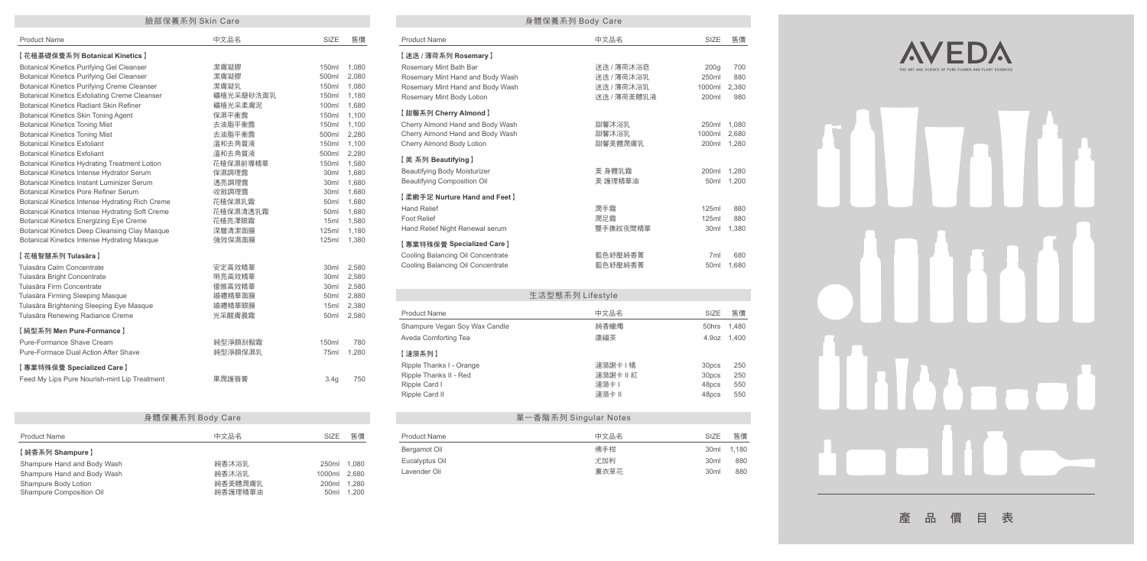| 臉部保養系列 Skin Care                                     |           |                  |       |  |  |
|------------------------------------------------------|-----------|------------------|-------|--|--|
| <b>Product Name</b>                                  | 中文品名      | SIZE             | 售價    |  |  |
| 【花植基礎保養系列 Botanical Kinetics】                        |           |                  |       |  |  |
| <b>Botanical Kinetics Purifying Gel Cleanser</b>     | 潔膚凝膠      | 150ml            | 1,080 |  |  |
| <b>Botanical Kinetics Purifying Gel Cleanser</b>     | 潔膚凝膠      | 500ml            | 2,080 |  |  |
| <b>Botanical Kinetics Purifying Creme Cleanser</b>   | 潔膚凝乳      | 150ml            | 1,080 |  |  |
| <b>Botanical Kinetics Exfoliating Creme Cleanser</b> | 礦植光采磨砂洗面乳 | 150ml            | 1,180 |  |  |
| <b>Botanical Kinetics Radiant Skin Refiner</b>       | 礦植光采柔膚泥   | 100ml            | 1,680 |  |  |
| <b>Botanical Kinetics Skin Toning Agent</b>          | 保濕平衡露     | 150ml            | 1,100 |  |  |
| <b>Botanical Kinetics Toning Mist</b>                | 去油脂平衡露    | 150ml            | 1,100 |  |  |
| <b>Botanical Kinetics Toning Mist</b>                | 去油脂平衡露    | 500ml            | 2,280 |  |  |
| <b>Botanical Kinetics Exfoliant</b>                  | 溫和去角質液    | 150ml            | 1,100 |  |  |
| <b>Botanical Kinetics Exfoliant</b>                  | 溫和去角質液    | 500ml            | 2.280 |  |  |
| Botanical Kinetics Hydrating Treatment Lotion        | 花植保濕前導精華  | 150ml            | 1,580 |  |  |
| <b>Botanical Kinetics Intense Hydrator Serum</b>     | 保濕調理露     | 30 <sub>ml</sub> | 1,680 |  |  |
| Botanical Kinetics Instant Luminizer Serum           | 透亮調理露     | 30 <sub>ml</sub> | 1,680 |  |  |
| Botanical Kinetics Pore Refiner Serum                | 收斂調理露     | 30 <sub>ml</sub> | 1,680 |  |  |
| Botanical Kinetics Intense Hydrating Rich Creme      | 花植保濕乳霜    | 50 <sub>ml</sub> | 1,680 |  |  |
| Botanical Kinetics Intense Hydrating Soft Creme      | 花植保濕清透乳霜  | 50 <sub>ml</sub> | 1,680 |  |  |
| <b>Botanical Kinetics Energizing Eye Creme</b>       | 花植亮澤眼霜    | 15ml             | 1,580 |  |  |
| Botanical Kinetics Deep Cleansing Clay Masque        | 深層清潔面膜    | 125ml            | 1,180 |  |  |
| Botanical Kinetics Intense Hydrating Masque          | 強效保濕面膜    | 125ml            | 1,380 |  |  |
| 【花植智慧系列 Tulasāra】                                    |           |                  |       |  |  |
| Tulasāra Calm Concentrate                            | 安定高效精華    | 30 <sub>ml</sub> | 2,580 |  |  |
| Tulasāra Bright Concentrate                          | 明亮高效精華    | 30 <sub>ml</sub> | 2,580 |  |  |
| Tulasāra Firm Concentrate                            | 優雅高效精華    | 30 <sub>ml</sub> | 2,580 |  |  |
| Tulasāra Firming Sleeping Masque                     | 婚禮精華面膜    | 50 <sub>ml</sub> | 2,880 |  |  |
| Tulasāra Brightening Sleeping Eye Masque             | 婚禮精華眼膜    | 15ml             | 2,380 |  |  |
| Tulasāra Renewing Radiance Creme                     | 光采醒膚晨霜    | 50 <sub>ml</sub> | 2,580 |  |  |
| 【純型系列 Men Pure-Formance】                             |           |                  |       |  |  |
| Pure-Formance Shave Cream                            | 純型淨顏刮鬍霜   | 150ml            | 780   |  |  |
| Pure-Formace Dual Action After Shave                 | 純型淨顏保濕乳   | 75ml             | 1,280 |  |  |
| 【專業特殊保養 Specialized Care】                            |           |                  |       |  |  |
| Feed My Lips Pure Nourish-mint Lip Treatment         | 果潤護唇膏     | 3.4g             | 750   |  |  |
|                                                      |           |                  |       |  |  |

|         | 臉部保養系列 Skin Care  |                           |                |                                     | 身體保養系列 Body Care |                  |       |
|---------|-------------------|---------------------------|----------------|-------------------------------------|------------------|------------------|-------|
|         | 中文品名              | SIZE                      | 售價             | <b>Product Name</b>                 | 中文品名             | SIZE             | 售價    |
|         |                   |                           |                | 【迷迭 / 薄荷系列 Rosemary 】               |                  |                  |       |
|         | 潔膚凝膠              | 150ml                     | 1.080          | Rosemary Mint Bath Bar              | 迷迭 / 薄荷沐浴皂       | 200q             | 700   |
|         | 潔膚凝膠              | 500ml                     | 2,080          | Rosemary Mint Hand and Body Wash    | 迷迭 / 薄荷沐浴乳       | 250ml            | 880   |
| iser    | 潔膚凝乳              | 150ml                     | 1,080          | Rosemary Mint Hand and Body Wash    | 迷迭 / 薄荷沐浴乳       | 1000ml           | 2,380 |
| anser   | 礦植光采磨砂洗面乳         | 150ml                     | 1,180          | Rosemary Mint Body Lotion           | 迷迭 / 薄荷美體乳液      | 200ml            | 980   |
|         | 礦植光采柔膚泥           | 100ml                     | 1,680          |                                     |                  |                  |       |
|         | 保濕平衡露             | 150ml                     | 1,100          | 【甜馨系列 Cherry Almond】                |                  |                  |       |
|         | 去油脂平衡露            | 150ml                     | 1,100          | Cherry Almond Hand and Body Wash    | 甜馨沐浴乳            | 250ml            | 1,080 |
|         | 去油脂平衡露            | 500ml                     | 2,280          | Cherry Almond Hand and Body Wash    | 甜馨沐浴乳            | 1000ml           | 2.680 |
|         | 溫和去角質液            | 150ml                     | 1,100          | Cherry Almond Body Lotion           | 甜馨美體潤膚乳          | 200ml            | 1,280 |
|         | 溫和去角質液            | 500ml                     | 2,280          | 【美系列 Beautifying】                   |                  |                  |       |
| otion   | 花植保濕前導精華<br>保濕調理露 | 150ml<br>30 <sub>ml</sub> | 1,580<br>1,680 | <b>Beautifying Body Moisturizer</b> | 美 身體乳霜           | 200ml            | 1.280 |
| m       | 透亮調理露             | 30ml                      | 1,680          | <b>Beautifying Composition Oil</b>  | 美 護理精華油          | 50 <sub>ml</sub> | 1,200 |
| ım      | 收斂調理露             | 30ml                      | 1,680          |                                     |                  |                  |       |
| า Creme | 花植保濕乳霜            | 50ml                      | 1,680          | 【柔嫩手足 Nurture Hand and Feet 】       |                  |                  |       |
| Creme   | 花植保濕清透乳霜          | 50ml                      | 1,680          | <b>Hand Relief</b>                  | 潤手霜              | <b>125ml</b>     | 880   |
|         | 花植亮澤眼霜            | 15ml                      | 1,580          | <b>Foot Relief</b>                  | 潤足霜              | 125ml            | 880   |
| Masque  | 深層清潔面膜            | 125ml                     | 1,180          | Hand Relief Night Renewal serum     | 雙手撫紋夜間精華         | 30ml             | 1,380 |
| sque    | 強效保濕面膜            | 125ml                     | 1,380          |                                     |                  |                  |       |
|         |                   |                           |                | 【專業特殊保養 Specialized Care】           |                  |                  |       |
|         |                   |                           |                | Cooling Balancing Oil Concentrate   | 藍色紓壓純香菁          | 7ml              | 680   |
|         | 安定高效精華            | 30 <sub>ml</sub>          | 2.580          | Cooling Balancing Oil Concentrate   | 藍色紓壓純香菁          | 50ml             | 1.680 |
|         | 明亮高效精華            | 30ml                      | 2,580          |                                     |                  |                  |       |
|         | 優雅高效精華            | 30ml                      | 2,580          |                                     |                  |                  |       |
|         | 婚禮精華面膜            | 50 <sub>ml</sub>          | 2,880          |                                     | 生活型態系列 Lifestyle |                  |       |
| ue      | 婚禮精華眼膜            | 15ml                      | 2,380          |                                     |                  |                  |       |
|         | 光采醒膚晨霜            | 50 <sub>ml</sub>          | 2,580          | <b>Product Name</b>                 | 中文品名             | SIZE             | 售價    |
|         |                   |                           |                | Shampure Vegan Soy Wax Candle       | 純香蠟燭             | 50hrs            | 1,480 |
|         | 純型淨顏刮鬍霜           | 150ml                     | 780            | Aveda Comforting Tea                | 康福茶              | 4.9oz            | 1,400 |
|         | 純型淨顏保濕乳           | 75ml                      | 1,280          | 【漣漪系列】                              |                  |                  |       |
|         |                   |                           |                | Ripple Thanks I - Orange            | 漣漪謝卡   橘         | 30pcs            | 250   |
|         |                   |                           |                | Ripple Thanks II - Red              | 漣漪謝卡Ⅱ紅           | 30pcs            | 250   |
| atment  | 果潤護唇膏             | 3.4g                      | 750            | Ripple Card I                       | <b>漣漪卡Ⅰ</b>      | 48pcs            | 550   |
|         |                   |                           |                | Ripple Card II                      | 漣漪卡Ⅱ             | 48pcs            | 550   |
|         |                   |                           |                |                                     |                  |                  |       |

|                     | 單一香階系列 Singular Notes    |       |
|---------------------|--------------------------|-------|
| <b>Product Name</b> | 中文品名<br>SIZE             | 售價    |
| Bergamot Oil        | 佛手柑<br>30 <sub>ml</sub>  | 1,180 |
| Eucalyptus Oil      | 尤加利<br>30 <sub>ml</sub>  | 880   |
| Lavender Oil        | 薰衣草花<br>30 <sub>ml</sub> | 880   |
|                     |                          |       |

| 身體保養系列 Body Care                                 |                    |                           |                |
|--------------------------------------------------|--------------------|---------------------------|----------------|
| <b>Product Name</b>                              | 中文品名               | SIZE                      | 售價             |
| 【純香系列 Shampure】                                  |                    |                           |                |
| Shampure Hand and Body Wash                      | 純香沐浴乳              | 250 <sub>ml</sub>         | 1.080          |
| Shampure Hand and Body Wash                      | 純香沐浴乳              | 1000ml                    | 2.680          |
| Shampure Body Lotion<br>Shampure Composition Oil | 純香美體潤膚乳<br>純香護理精華油 | 200ml<br>50 <sub>ml</sub> | 1.280<br>1.200 |